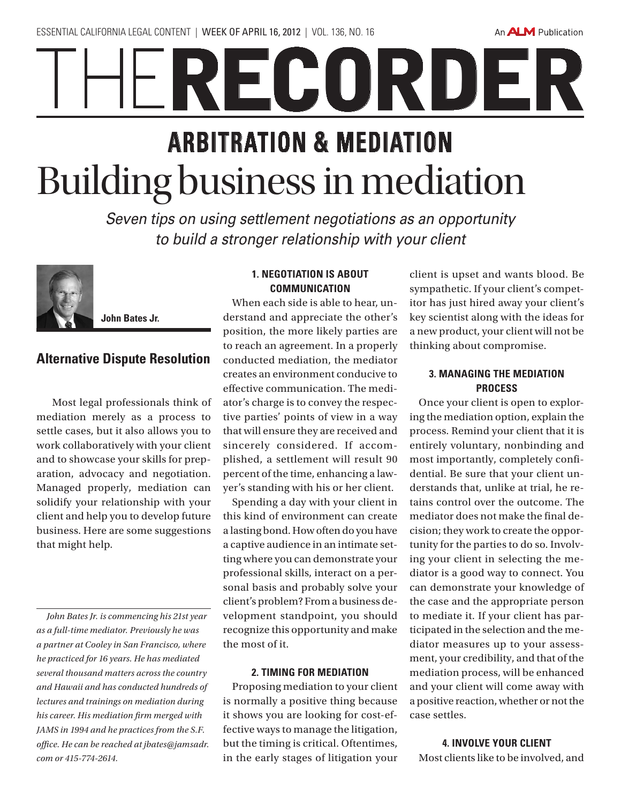An **ALM** Publication

# RECORDER **ARBITRATION & MEDIATION** Building business in mediation

*Seven tips on using settlement negotiations as an opportunity to build a stronger relationship with your client*



**John Bates Jr.**

## **Alternative Dispute Resolution**

 Most legal professionals think of mediation merely as a process to settle cases, but it also allows you to work collaboratively with your client and to showcase your skills for preparation, advocacy and negotiation. Managed properly, mediation can solidify your relationship with your client and help you to develop future business. Here are some suggestions that might help.

*John Bates Jr. is commencing his 21st year as a full-time mediator. Previously he was a partner at Cooley in San Francisco, where he practiced for 16 years. He has mediated several thousand matters across the country and Hawaii and has conducted hundreds of lectures and trainings on mediation during his career. His mediation firm merged with JAMS in 1994 and he practices from the S.F. office. He can be reached at jbates@jamsadr. com or 415-774-2614.*

#### **1. Negotiation is about communication**

When each side is able to hear, understand and appreciate the other's position, the more likely parties are to reach an agreement. In a properly conducted mediation, the mediator creates an environment conducive to effective communication. The mediator's charge is to convey the respective parties' points of view in a way that will ensure they are received and sincerely considered. If accomplished, a settlement will result 90 percent of the time, enhancing a lawyer's standing with his or her client.

Spending a day with your client in this kind of environment can create a lasting bond. How often do you have a captive audience in an intimate setting where you can demonstrate your professional skills, interact on a personal basis and probably solve your client's problem? From a business development standpoint, you should recognize this opportunity and make the most of it.

#### **2. Timing for mediation**

Proposing mediation to your client is normally a positive thing because it shows you are looking for cost-effective ways to manage the litigation, but the timing is critical. Oftentimes, in the early stages of litigation your client is upset and wants blood. Be sympathetic. If your client's competitor has just hired away your client's key scientist along with the ideas for a new product, your client will not be thinking about compromise.

### **3. Managing the Mediation Process**

Once your client is open to exploring the mediation option, explain the process. Remind your client that it is entirely voluntary, nonbinding and most importantly, completely confidential. Be sure that your client understands that, unlike at trial, he retains control over the outcome. The mediator does not make the final decision; they work to create the opportunity for the parties to do so. Involving your client in selecting the mediator is a good way to connect. You can demonstrate your knowledge of the case and the appropriate person to mediate it. If your client has participated in the selection and the mediator measures up to your assessment, your credibility, and that of the mediation process, will be enhanced and your client will come away with a positive reaction, whether or not the case settles.

**4. Involve Your Client**  Most clients like to be involved, and